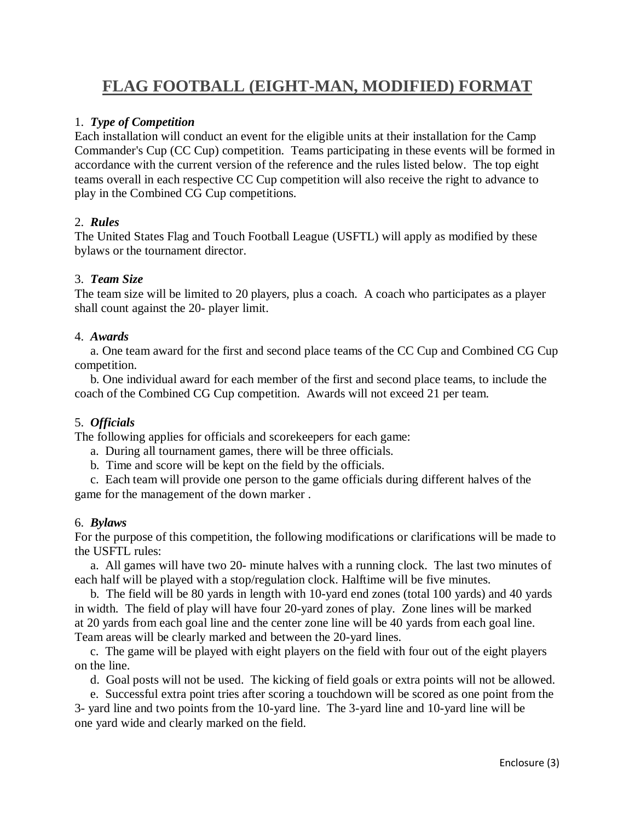# **FLAG FOOTBALL (EIGHT-MAN, MODIFIED) FORMAT**

#### 1. *Type of Competition*

Each installation will conduct an event for the eligible units at their installation for the Camp Commander's Cup (CC Cup) competition. Teams participating in these events will be formed in accordance with the current version of the reference and the rules listed below. The top eight teams overall in each respective CC Cup competition will also receive the right to advance to play in the Combined CG Cup competitions.

## 2. *Rules*

The United States Flag and Touch Football League (USFTL) will apply as modified by these bylaws or the tournament director.

## 3. *Team Size*

The team size will be limited to 20 players, plus a coach. A coach who participates as a player shall count against the 20- player limit.

#### 4. *Awards*

 a. One team award for the first and second place teams of the CC Cup and Combined CG Cup competition.

 b. One individual award for each member of the first and second place teams, to include the coach of the Combined CG Cup competition. Awards will not exceed 21 per team.

#### 5. *Officials*

The following applies for officials and scorekeepers for each game:

- a. During all tournament games, there will be three officials.
- b. Time and score will be kept on the field by the officials.

 c. Each team will provide one person to the game officials during different halves of the game for the management of the down marker .

#### 6. *Bylaws*

For the purpose of this competition, the following modifications or clarifications will be made to the USFTL rules:

 a. All games will have two 20- minute halves with a running clock. The last two minutes of each half will be played with a stop/regulation clock. Halftime will be five minutes.

 b. The field will be 80 yards in length with 10-yard end zones (total 100 yards) and 40 yards in width. The field of play will have four 20-yard zones of play. Zone lines will be marked at 20 yards from each goal line and the center zone line will be 40 yards from each goal line. Team areas will be clearly marked and between the 20-yard lines.

 c. The game will be played with eight players on the field with four out of the eight players on the line.

d. Goal posts will not be used. The kicking of field goals or extra points will not be allowed.

 e. Successful extra point tries after scoring a touchdown will be scored as one point from the 3- yard line and two points from the 10-yard line. The 3-yard line and 10-yard line will be one yard wide and clearly marked on the field.